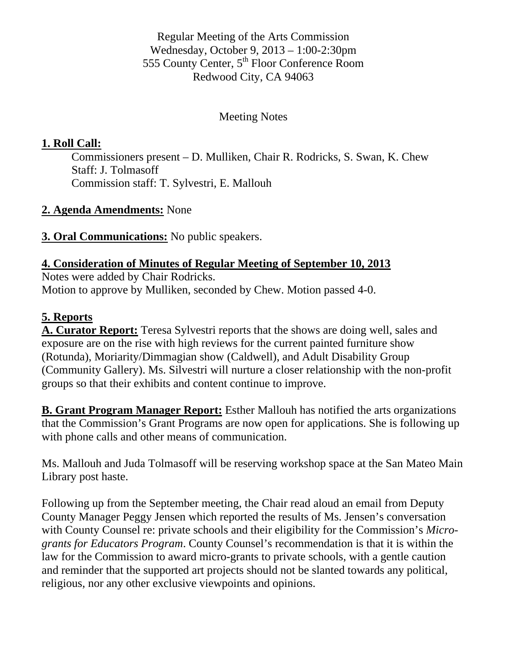Regular Meeting of the Arts Commission Wednesday, October 9, 2013 – 1:00-2:30pm 555 County Center, 5<sup>th</sup> Floor Conference Room Redwood City, CA 94063

#### Meeting Notes

#### **1. Roll Call:**

Commissioners present – D. Mulliken, Chair R. Rodricks, S. Swan, K. Chew Staff: J. Tolmasoff Commission staff: T. Sylvestri, E. Mallouh

#### **2. Agenda Amendments:** None

**3. Oral Communications:** No public speakers.

#### **4. Consideration of Minutes of Regular Meeting of September 10, 2013**

Notes were added by Chair Rodricks. Motion to approve by Mulliken, seconded by Chew. Motion passed 4-0.

#### **5. Reports**

**A. Curator Report:** Teresa Sylvestri reports that the shows are doing well, sales and exposure are on the rise with high reviews for the current painted furniture show (Rotunda), Moriarity/Dimmagian show (Caldwell), and Adult Disability Group (Community Gallery). Ms. Silvestri will nurture a closer relationship with the non-profit groups so that their exhibits and content continue to improve.

**B. Grant Program Manager Report:** Esther Mallouh has notified the arts organizations that the Commission's Grant Programs are now open for applications. She is following up with phone calls and other means of communication.

Ms. Mallouh and Juda Tolmasoff will be reserving workshop space at the San Mateo Main Library post haste.

Following up from the September meeting, the Chair read aloud an email from Deputy County Manager Peggy Jensen which reported the results of Ms. Jensen's conversation with County Counsel re: private schools and their eligibility for the Commission's *Microgrants for Educators Program*. County Counsel's recommendation is that it is within the law for the Commission to award micro-grants to private schools, with a gentle caution and reminder that the supported art projects should not be slanted towards any political, religious, nor any other exclusive viewpoints and opinions.